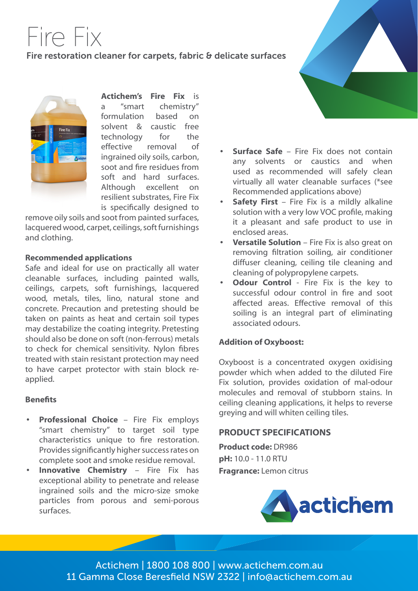# Fire Fix Fire restoration cleaner for carpets, fabric & delicate surfaces



**Actichem's Fire Fix** is a "smart chemistry" formulation based on solvent & caustic free technology for the effective removal of ingrained oily soils, carbon, soot and fire residues from soft and hard surfaces. Although excellent on resilient substrates, Fire Fix

is specifically designed to remove oily soils and soot from painted surfaces, lacquered wood, carpet, ceilings, soft furnishings and clothing.

#### **Recommended applications**

Safe and ideal for use on practically all water cleanable surfaces, including painted walls, ceilings, carpets, soft furnishings, lacquered wood, metals, tiles, lino, natural stone and concrete. Precaution and pretesting should be taken on paints as heat and certain soil types may destabilize the coating integrity. Pretesting should also be done on soft (non-ferrous) metals to check for chemical sensitivity. Nylon fibres treated with stain resistant protection may need to have carpet protector with stain block reapplied.

## **Benefits**

- **• Professional Choice** Fire Fix employs "smart chemistry" to target soil type characteristics unique to fire restoration. Provides significantly higher success rates on complete soot and smoke residue removal.
- **• Innovative Chemistry** Fire Fix has exceptional ability to penetrate and release ingrained soils and the micro-size smoke particles from porous and semi-porous surfaces.



- **• Surface Safe** Fire Fix does not contain any solvents or caustics and when used as recommended will safely clean virtually all water cleanable surfaces (\*see Recommended applications above)
- **Safety First** Fire Fix is a mildly alkaline solution with a very low VOC profile, making it a pleasant and safe product to use in enclosed areas.
- **• Versatile Solution** Fire Fix is also great on removing filtration soiling, air conditioner diffuser cleaning, ceiling tile cleaning and cleaning of polypropylene carpets.
- **• Odour Control**  Fire Fix is the key to successful odour control in fire and soot affected areas. Effective removal of this soiling is an integral part of eliminating associated odours.

# **Addition of Oxyboost:**

Oxyboost is a concentrated oxygen oxidising powder which when added to the diluted Fire Fix solution, provides oxidation of mal-odour molecules and removal of stubborn stains. In ceiling cleaning applications, it helps to reverse greying and will whiten ceiling tiles.

# **PRODUCT SPECIFICATIONS**

**Product code:** DR986 **pH:** 10.0 - 11.0 RTU **Fragrance:** Lemon citrus



Actichem | 1800 108 800 | www.actichem.com.au 11 Gamma Close Beresfield NSW 2322 | info@actichem.com.au